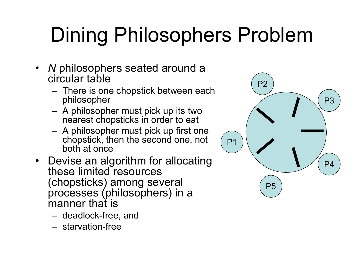- *N* philosophers seated around a circular table
	- There is one chopstick between each philosopher
	- A philosopher must pick up its two nearest chopsticks in order to eat
	- A philosopher must pick up first one chopstick, then the second one, not both at once
- Devise an algorithm for allocating these limited resources (chopsticks) among several processes (philosophers) in a manner that is
	- deadlock-free, and
	- starvation-free

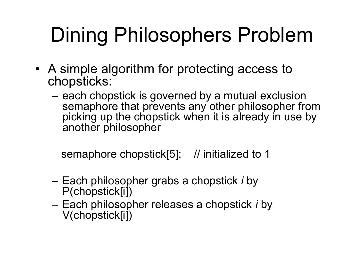- A simple algorithm for protecting access to chopsticks:
	- each chopstick is governed by a mutual exclusion semaphore that prevents any other philosopher from picking up the chopstick when it is already in use by another philosopher

semaphore chopstick[5]; // initialized to 1

- Each philosopher grabs a chopstick *i* by P(chopstick[i])
- Each philosopher releases a chopstick *i* by V(chopstick[i])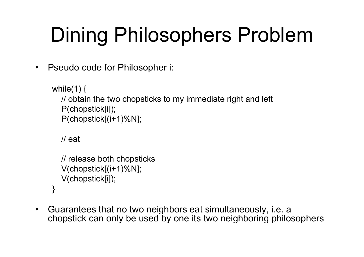• Pseudo code for Philosopher i:

```
while(1) \{// obtain the two chopsticks to my immediate right and left
  P(chopstick[i]);
  P(chopstick[(i+1)%N];
```

```
// eat
```

```
// release both chopsticks
  V(chopstick[(i+1)%N];
  V(chopstick[i]);
}
```
• Guarantees that no two neighbors eat simultaneously, i.e. a chopstick can only be used by one its two neighboring philosophers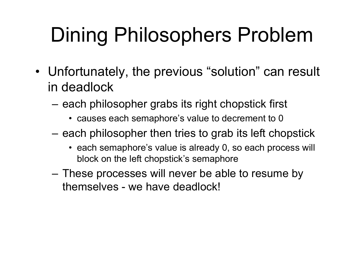- Unfortunately, the previous "solution" can result in deadlock
	- each philosopher grabs its right chopstick first
		- causes each semaphore's value to decrement to 0
	- each philosopher then tries to grab its left chopstick
		- each semaphore's value is already 0, so each process will block on the left chopstick's semaphore
	- These processes will never be able to resume by themselves - we have deadlock!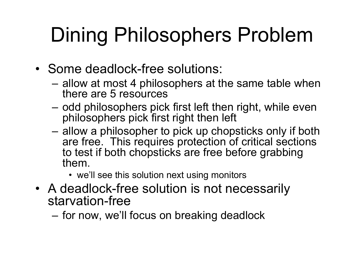- Some deadlock-free solutions:
	- allow at most 4 philosophers at the same table when there are 5 resources
	- odd philosophers pick first left then right, while even philosophers pick first right then left
	- allow a philosopher to pick up chopsticks only if both are free. This requires protection of critical sections to test if both chopsticks are free before grabbing them.
		- we'll see this solution next using monitors
- A deadlock-free solution is not necessarily starvation-free
	- for now, we'll focus on breaking deadlock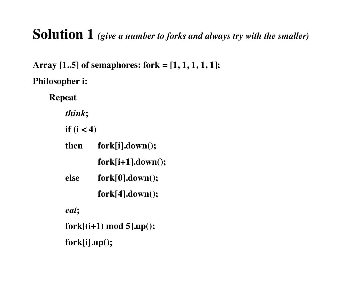#### **Solution 1** *(give a number to forks and always try with the smaller)*

**Array [1..5] of semaphores: fork = [1, 1, 1, 1, 1]; Philosopher i:**

**Repeat**

*think***;**

**if (i < 4)**

| then | fork[i].down();         |
|------|-------------------------|
|      | $fork[i+1].down();$     |
| else | $fork[0].down($ ;       |
|      | $fork[4].down($ :       |
| eat; |                         |
|      | fork[(i+1) mod 5].up(); |

**fork[i].up();**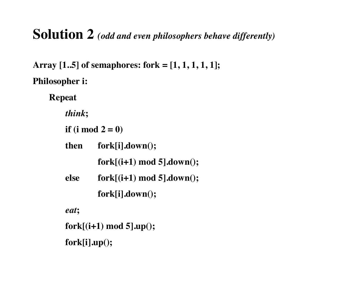#### **Solution 2** *(odd and even philosophers behave differently)*

**Array [1..5] of semaphores: fork = [1, 1, 1, 1, 1]; Philosopher i:**

**Repeat**

*think***;**

**if (i mod 2 = 0)**

| <b>then</b> | fork[i].down();              |
|-------------|------------------------------|
|             | $fork[(i+1) \mod 5].down();$ |

```
else fork[(i+1) mod 5].down();
```
**fork[i].down();** 

*eat***;**

**fork[(i+1) mod 5].up();** 

**fork[i].up();**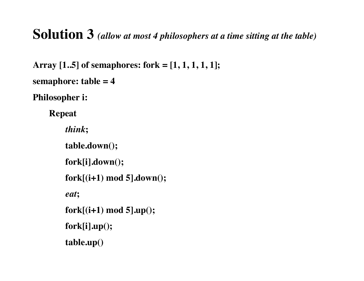#### **Solution 3** *(allow at most 4 philosophers at a time sitting at the table)*

```
Array [1..5] of semaphores: fork = [1, 1, 1, 1, 1]; 
semaphore: table = 4
```
**Philosopher i:**

**Repeat**

*think***;**

**table.down();**

**fork[i].down();** 

**fork[(i+1) mod 5].down();**

*eat***;**

**fork[(i+1) mod 5].up();** 

**fork[i].up();**

**table.up()**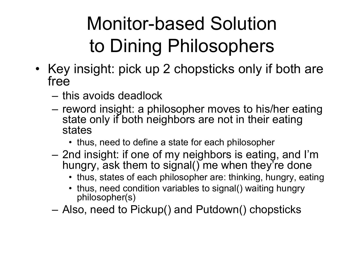- Key insight: pick up 2 chopsticks only if both are free
	- this avoids deadlock
	- reword insight: a philosopher moves to his/her eating state only if both neighbors are not in their eating states
		- thus, need to define a state for each philosopher
	- 2nd insight: if one of my neighbors is eating, and I'm hungry, ask them to signal() me when they're done
		- thus, states of each philosopher are: thinking, hungry, eating
		- thus, need condition variables to signal() waiting hungry philosopher(s)
	- Also, need to Pickup() and Putdown() chopsticks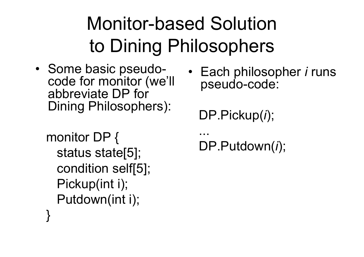- Some basic pseudocode for monitor (we'll abbreviate DP for Dining Philosophers):
	- monitor DP { status state[5]; condition self[5]; Pickup(int i); Putdown(int i); }

• Each philosopher *i* runs pseudo-code:

DP.Pickup(*i*);

```
...
DP.Putdown(i);
```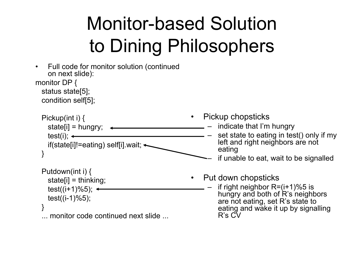